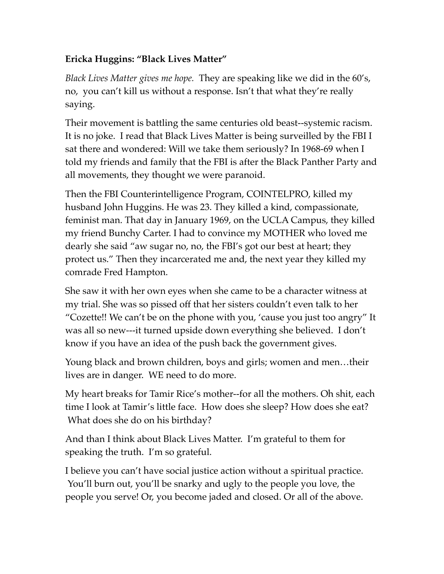## **Ericka Huggins: "Black Lives Matter"**

*Black Lives Matter gives me hope.* They are speaking like we did in the 60's, no, you can't kill us without a response. Isn't that what they're really saying.

Their movement is battling the same centuries old beast--systemic racism. It is no joke. I read that Black Lives Matter is being surveilled by the FBI I sat there and wondered: Will we take them seriously? In 1968-69 when I told my friends and family that the FBI is after the Black Panther Party and all movements, they thought we were paranoid.

Then the FBI Counterintelligence Program, COINTELPRO, killed my husband John Huggins. He was 23. They killed a kind, compassionate, feminist man. That day in January 1969, on the UCLA Campus, they killed my friend Bunchy Carter. I had to convince my MOTHER who loved me dearly she said "aw sugar no, no, the FBI's got our best at heart; they protect us." Then they incarcerated me and, the next year they killed my comrade Fred Hampton.

She saw it with her own eyes when she came to be a character witness at my trial. She was so pissed off that her sisters couldn't even talk to her "Cozette!! We can't be on the phone with you, 'cause you just too angry" It was all so new---it turned upside down everything she believed. I don't know if you have an idea of the push back the government gives.

Young black and brown children, boys and girls; women and men…their lives are in danger. WE need to do more.

My heart breaks for Tamir Rice's mother--for all the mothers. Oh shit, each time I look at Tamir's little face. How does she sleep? How does she eat? What does she do on his birthday?

And than I think about Black Lives Matter. I'm grateful to them for speaking the truth. I'm so grateful.

I believe you can't have social justice action without a spiritual practice. You'll burn out, you'll be snarky and ugly to the people you love, the people you serve! Or, you become jaded and closed. Or all of the above.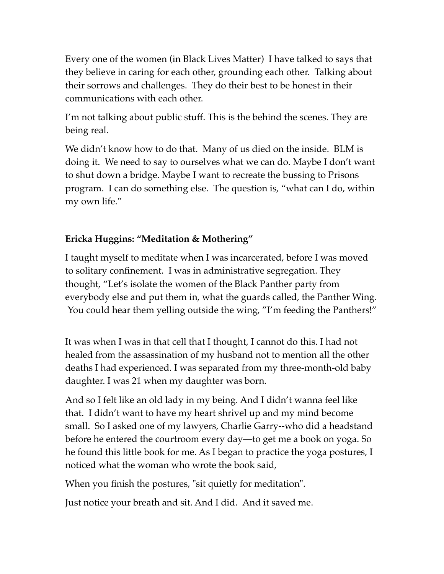Every one of the women (in Black Lives Matter) I have talked to says that they believe in caring for each other, grounding each other. Talking about their sorrows and challenges. They do their best to be honest in their communications with each other.

I'm not talking about public stuff. This is the behind the scenes. They are being real.

We didn't know how to do that. Many of us died on the inside. BLM is doing it. We need to say to ourselves what we can do. Maybe I don't want to shut down a bridge. Maybe I want to recreate the bussing to Prisons program. I can do something else. The question is, "what can I do, within my own life."

## **Ericka Huggins: "Meditation & Mothering"**

I taught myself to meditate when I was incarcerated, before I was moved to solitary confinement. I was in administrative segregation. They thought, "Let's isolate the women of the Black Panther party from everybody else and put them in, what the guards called, the Panther Wing. You could hear them yelling outside the wing, "I'm feeding the Panthers!"

It was when I was in that cell that I thought, I cannot do this. I had not healed from the assassination of my husband not to mention all the other deaths I had experienced. I was separated from my three-month-old baby daughter. I was 21 when my daughter was born.

And so I felt like an old lady in my being. And I didn't wanna feel like that. I didn't want to have my heart shrivel up and my mind become small. So I asked one of my lawyers, Charlie Garry--who did a headstand before he entered the courtroom every day—to get me a book on yoga. So he found this little book for me. As I began to practice the yoga postures, I noticed what the woman who wrote the book said,

When you finish the postures, "sit quietly for meditation".

Just notice your breath and sit. And I did. And it saved me.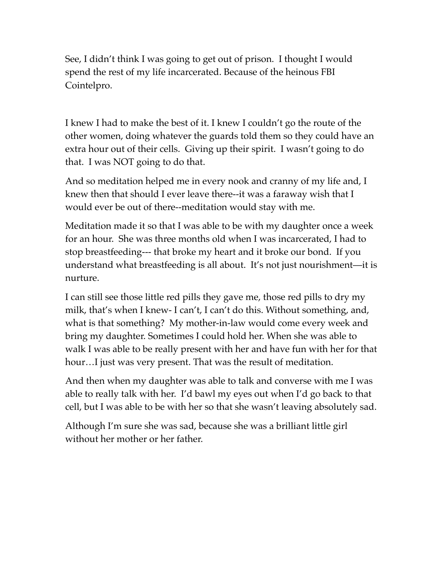See, I didn't think I was going to get out of prison. I thought I would spend the rest of my life incarcerated. Because of the heinous FBI Cointelpro.

I knew I had to make the best of it. I knew I couldn't go the route of the other women, doing whatever the guards told them so they could have an extra hour out of their cells. Giving up their spirit. I wasn't going to do that. I was NOT going to do that.

And so meditation helped me in every nook and cranny of my life and, I knew then that should I ever leave there--it was a faraway wish that I would ever be out of there--meditation would stay with me.

Meditation made it so that I was able to be with my daughter once a week for an hour. She was three months old when I was incarcerated, I had to stop breastfeeding--- that broke my heart and it broke our bond. If you understand what breastfeeding is all about. It's not just nourishment—it is nurture.

I can still see those little red pills they gave me, those red pills to dry my milk, that's when I knew- I can't, I can't do this. Without something, and, what is that something? My mother-in-law would come every week and bring my daughter. Sometimes I could hold her. When she was able to walk I was able to be really present with her and have fun with her for that hour…I just was very present. That was the result of meditation.

And then when my daughter was able to talk and converse with me I was able to really talk with her. I'd bawl my eyes out when I'd go back to that cell, but I was able to be with her so that she wasn't leaving absolutely sad.

Although I'm sure she was sad, because she was a brilliant little girl without her mother or her father.